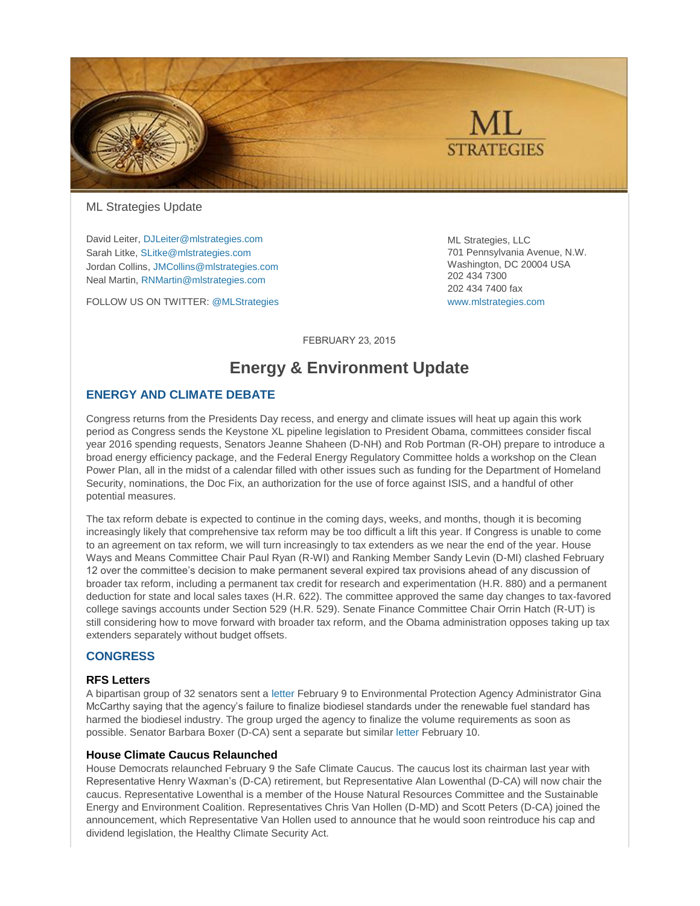

[ML Strategies](http://www.mlstrategies.com/) Update

David Leiter[, DJLeiter@mlstrategies.com](mailto:DJLeiter@mlstrategies.com) Sarah Litke, [SLitke@mlstrategies.com](mailto:SLitke@mlstrategies.com) Jordan Collins, [JMCollins@mlstrategies.com](mailto:JMCollins@mlstrategies.com) Neal Martin[, RNMartin@mlstrategies.com](mailto:RNMartin@mlstrategies.com)

FOLLOW US ON TWITTER[: @MLStrategies](https://twitter.com/MLStrategies)

ML Strategies, LLC 701 Pennsylvania Avenue, N.W. Washington, DC 20004 USA 202 434 7300 202 434 7400 fax [www.mlstrategies.com](http://www.mlstrategies.com/)

**FEBRUARY 23, 2015** 

# **Energy & Environment Update**

# **ENERGY AND CLIMATE DEBATE**

Congress returns from the Presidents Day recess, and energy and climate issues will heat up again this work period as Congress sends the Keystone XL pipeline legislation to President Obama, committees consider fiscal year 2016 spending requests, Senators Jeanne Shaheen (D-NH) and Rob Portman (R-OH) prepare to introduce a broad energy efficiency package, and the Federal Energy Regulatory Committee holds a workshop on the Clean Power Plan, all in the midst of a calendar filled with other issues such as funding for the Department of Homeland Security, nominations, the Doc Fix, an authorization for the use of force against ISIS, and a handful of other potential measures.

The tax reform debate is expected to continue in the coming days, weeks, and months, though it is becoming increasingly likely that comprehensive tax reform may be too difficult a lift this year. If Congress is unable to come to an agreement on tax reform, we will turn increasingly to tax extenders as we near the end of the year. House Ways and Means Committee Chair Paul Ryan (R-WI) and Ranking Member Sandy Levin (D-MI) clashed February 12 over the committee's decision to make permanent several expired tax provisions ahead of any discussion of broader tax reform, including a permanent tax credit for research and experimentation (H.R. 880) and a permanent deduction for state and local sales taxes (H.R. 622). The committee approved the same day changes to tax-favored college savings accounts under Section 529 (H.R. 529). Senate Finance Committee Chair Orrin Hatch (R-UT) is still considering how to move forward with broader tax reform, and the Obama administration opposes taking up tax extenders separately without budget offsets.

# **CONGRESS**

#### **RFS Letters**

A bipartisan group of 32 senators sent a [letter](http://www.heitkamp.senate.gov/public/_cache/files/4768518b-f7b9-4cb6-9bd9-15a8540a788b/senate-biodiesel-rfs-letter-2-9-15.pdf) February 9 to Environmental Protection Agency Administrator Gina McCarthy saying that the agency's failure to finalize biodiesel standards under the renewable fuel standard has harmed the biodiesel industry. The group urged the agency to finalize the volume requirements as soon as possible. Senator Barbara Boxer (D-CA) sent a separate but simila[r letter](http://www.epw.senate.gov/public/index.cfm?FuseAction=Files.View&FileStore_id=3ee70630-4956-4544-b026-135e8c5f4754) February 10.

#### **House Climate Caucus Relaunched**

House Democrats relaunched February 9 the Safe Climate Caucus. The caucus lost its chairman last year with Representative Henry Waxman's (D-CA) retirement, but Representative Alan Lowenthal (D-CA) will now chair the caucus. Representative Lowenthal is a member of the House Natural Resources Committee and the Sustainable Energy and Environment Coalition. Representatives Chris Van Hollen (D-MD) and Scott Peters (D-CA) joined the announcement, which Representative Van Hollen used to announce that he would soon reintroduce his cap and dividend legislation, the Healthy Climate Security Act.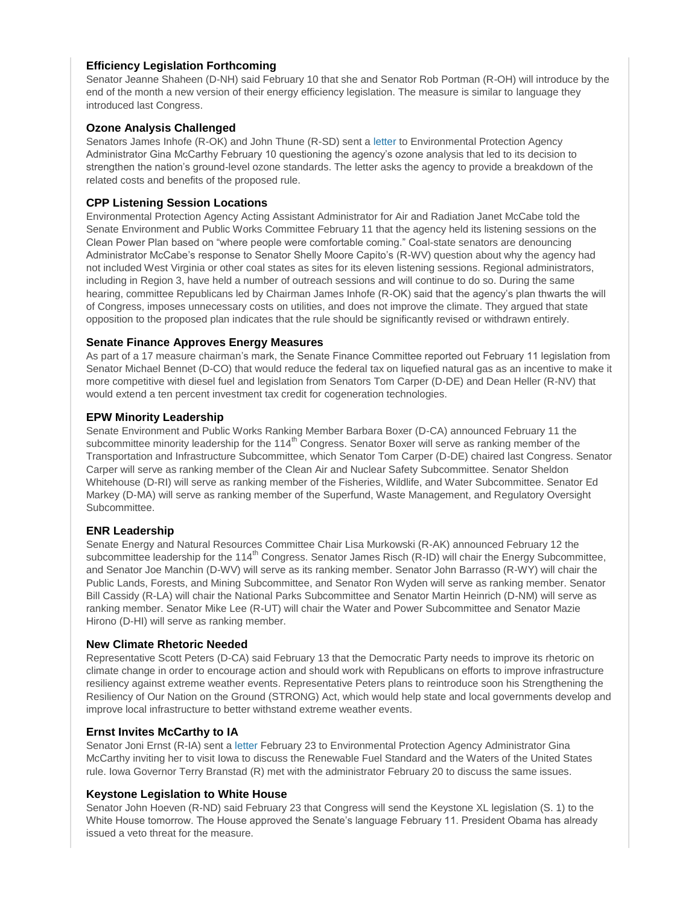# **Efficiency Legislation Forthcoming**

Senator Jeanne Shaheen (D-NH) said February 10 that she and Senator Rob Portman (R-OH) will introduce by the end of the month a new version of their energy efficiency legislation. The measure is similar to language they introduced last Congress.

# **Ozone Analysis Challenged**

Senators James Inhofe (R-OK) and John Thune (R-SD) sent [a letter](http://www.thune.senate.gov/public/index.cfm/2015/2/thune-inhofe-to-epa-facts-aren-t-adding-up-on-ground-level-ozone-proposal) to Environmental Protection Agency Administrator Gina McCarthy February 10 questioning the agency's ozone analysis that led to its decision to strengthen the nation's ground-level ozone standards. The letter asks the agency to provide a breakdown of the related costs and benefits of the proposed rule.

# **CPP Listening Session Locations**

Environmental Protection Agency Acting Assistant Administrator for Air and Radiation Janet McCabe told the Senate Environment and Public Works Committee February 11 that the agency held its listening sessions on the Clean Power Plan based on "where people were comfortable coming." Coal-state senators are denouncing Administrator McCabe's response to Senator Shelly Moore Capito's (R-WV) question about why the agency had not included West Virginia or other coal states as sites for its eleven listening sessions. Regional administrators, including in Region 3, have held a number of outreach sessions and will continue to do so. During the same hearing, committee Republicans led by Chairman James Inhofe (R-OK) said that the agency's plan thwarts the will of Congress, imposes unnecessary costs on utilities, and does not improve the climate. They argued that state opposition to the proposed plan indicates that the rule should be significantly revised or withdrawn entirely.

# **Senate Finance Approves Energy Measures**

As part of a 17 measure chairman's mark, the Senate Finance Committee reported out February 11 legislation from Senator Michael Bennet (D-CO) that would reduce the federal tax on liquefied natural gas as an incentive to make it more competitive with diesel fuel and legislation from Senators Tom Carper (D-DE) and Dean Heller (R-NV) that would extend a ten percent investment tax credit for cogeneration technologies.

# **EPW Minority Leadership**

Senate Environment and Public Works Ranking Member Barbara Boxer (D-CA) announced February 11 the subcommittee minority leadership for the 114<sup>th</sup> Congress. Senator Boxer will serve as ranking member of the Transportation and Infrastructure Subcommittee, which Senator Tom Carper (D-DE) chaired last Congress. Senator Carper will serve as ranking member of the Clean Air and Nuclear Safety Subcommittee. Senator Sheldon Whitehouse (D-RI) will serve as ranking member of the Fisheries, Wildlife, and Water Subcommittee. Senator Ed Markey (D-MA) will serve as ranking member of the Superfund, Waste Management, and Regulatory Oversight Subcommittee.

# **ENR Leadership**

Senate Energy and Natural Resources Committee Chair Lisa Murkowski (R-AK) announced February 12 the subcommittee leadership for the 114<sup>th</sup> Congress. Senator James Risch (R-ID) will chair the Energy Subcommittee, and Senator Joe Manchin (D-WV) will serve as its ranking member. Senator John Barrasso (R-WY) will chair the Public Lands, Forests, and Mining Subcommittee, and Senator Ron Wyden will serve as ranking member. Senator Bill Cassidy (R-LA) will chair the National Parks Subcommittee and Senator Martin Heinrich (D-NM) will serve as ranking member. Senator Mike Lee (R-UT) will chair the Water and Power Subcommittee and Senator Mazie Hirono (D-HI) will serve as ranking member.

# **New Climate Rhetoric Needed**

Representative Scott Peters (D-CA) said February 13 that the Democratic Party needs to improve its rhetoric on climate change in order to encourage action and should work with Republicans on efforts to improve infrastructure resiliency against extreme weather events. Representative Peters plans to reintroduce soon his Strengthening the Resiliency of Our Nation on the Ground (STRONG) Act, which would help state and local governments develop and improve local infrastructure to better withstand extreme weather events.

# **Ernst Invites McCarthy to IA**

Senator Joni Ernst (R-IA) sent a [letter](http://www.ernst.senate.gov/content/sen-joni-ernst-invites-epa-administrator-iowa) February 23 to Environmental Protection Agency Administrator Gina McCarthy inviting her to visit Iowa to discuss the Renewable Fuel Standard and the Waters of the United States rule. Iowa Governor Terry Branstad (R) met with the administrator February 20 to discuss the same issues.

# **Keystone Legislation to White House**

Senator John Hoeven (R-ND) said February 23 that Congress will send the Keystone XL legislation (S. 1) to the White House tomorrow. The House approved the Senate's language February 11. President Obama has already issued a veto threat for the measure.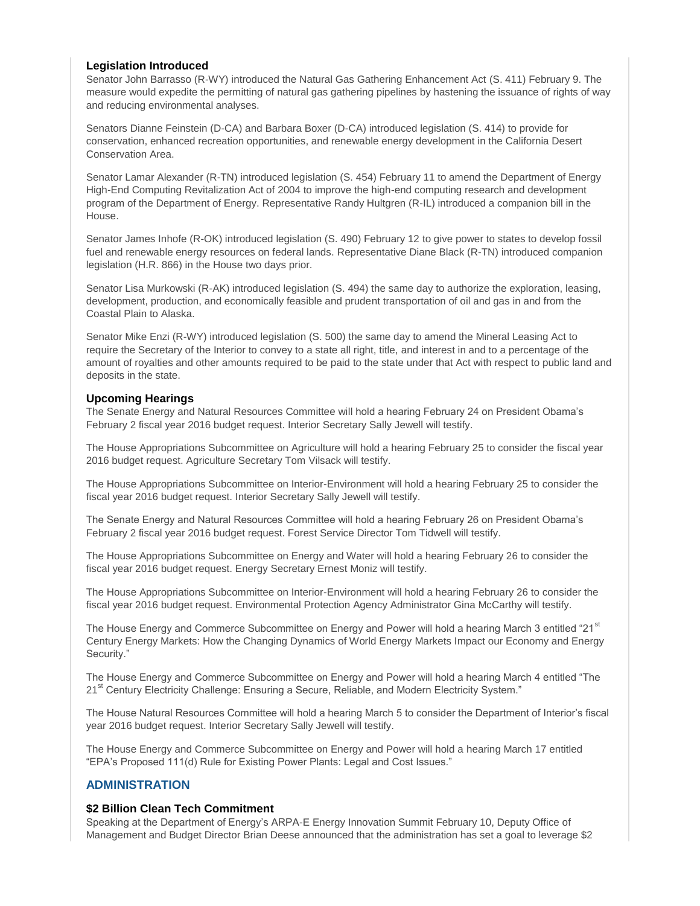### **Legislation Introduced**

Senator John Barrasso (R-WY) introduced the Natural Gas Gathering Enhancement Act (S. 411) February 9. The measure would expedite the permitting of natural gas gathering pipelines by hastening the issuance of rights of way and reducing environmental analyses.

Senators Dianne Feinstein (D-CA) and Barbara Boxer (D-CA) introduced legislation (S. 414) to provide for conservation, enhanced recreation opportunities, and renewable energy development in the California Desert Conservation Area.

Senator Lamar Alexander (R-TN) introduced legislation (S. 454) February 11 to amend the Department of Energy High-End Computing Revitalization Act of 2004 to improve the high-end computing research and development program of the Department of Energy. Representative Randy Hultgren (R-IL) introduced a companion bill in the House.

Senator James Inhofe (R-OK) introduced legislation (S. 490) February 12 to give power to states to develop fossil fuel and renewable energy resources on federal lands. Representative Diane Black (R-TN) introduced companion legislation (H.R. 866) in the House two days prior.

Senator Lisa Murkowski (R-AK) introduced legislation (S. 494) the same day to authorize the exploration, leasing, development, production, and economically feasible and prudent transportation of oil and gas in and from the Coastal Plain to Alaska.

Senator Mike Enzi (R-WY) introduced legislation (S. 500) the same day to amend the Mineral Leasing Act to require the Secretary of the Interior to convey to a state all right, title, and interest in and to a percentage of the amount of royalties and other amounts required to be paid to the state under that Act with respect to public land and deposits in the state.

#### **Upcoming Hearings**

The Senate Energy and Natural Resources Committee will hold a hearing February 24 on President Obama's February 2 fiscal year 2016 budget request. Interior Secretary Sally Jewell will testify.

The House Appropriations Subcommittee on Agriculture will hold a hearing February 25 to consider the fiscal year 2016 budget request. Agriculture Secretary Tom Vilsack will testify.

The House Appropriations Subcommittee on Interior-Environment will hold a hearing February 25 to consider the fiscal year 2016 budget request. Interior Secretary Sally Jewell will testify.

The Senate Energy and Natural Resources Committee will hold a hearing February 26 on President Obama's February 2 fiscal year 2016 budget request. Forest Service Director Tom Tidwell will testify.

The House Appropriations Subcommittee on Energy and Water will hold a hearing February 26 to consider the fiscal year 2016 budget request. Energy Secretary Ernest Moniz will testify.

The House Appropriations Subcommittee on Interior-Environment will hold a hearing February 26 to consider the fiscal year 2016 budget request. Environmental Protection Agency Administrator Gina McCarthy will testify.

The House Energy and Commerce Subcommittee on Energy and Power will hold a hearing March 3 entitled "21<sup>st</sup> Century Energy Markets: How the Changing Dynamics of World Energy Markets Impact our Economy and Energy Security."

The House Energy and Commerce Subcommittee on Energy and Power will hold a hearing March 4 entitled "The 21<sup>st</sup> Century Electricity Challenge: Ensuring a Secure, Reliable, and Modern Electricity System."

The House Natural Resources Committee will hold a hearing March 5 to consider the Department of Interior's fiscal year 2016 budget request. Interior Secretary Sally Jewell will testify.

The House Energy and Commerce Subcommittee on Energy and Power will hold a hearing March 17 entitled "EPA's Proposed 111(d) Rule for Existing Power Plants: Legal and Cost Issues."

# **ADMINISTRATION**

# **\$2 Billion Clean Tech Commitment**

Speaking at the Department of Energy's ARPA-E Energy Innovation Summit February 10, Deputy Office of Management and Budget Director Brian Deese announced that the administration has set a goal to leverage \$2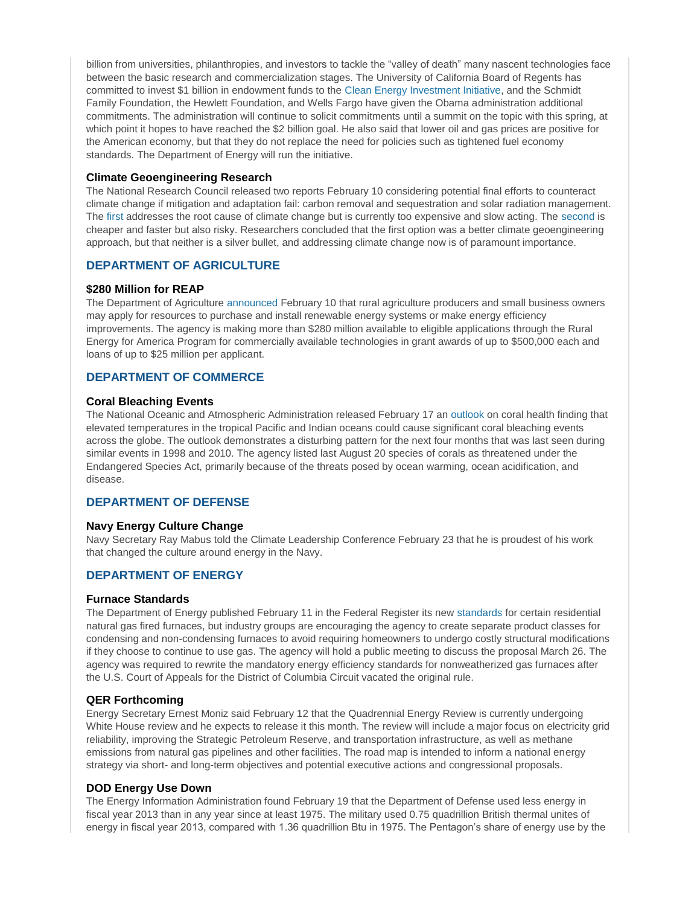billion from universities, philanthropies, and investors to tackle the "valley of death" many nascent technologies face between the basic research and commercialization stages. The University of California Board of Regents has committed to invest \$1 billion in endowment funds to the [Clean Energy Investment Initiative,](http://www.whitehouse.gov/the-press-office/2015/02/10/fact-sheet-obama-administration-announces-initiative-scale-investment-cl) and the Schmidt Family Foundation, the Hewlett Foundation, and Wells Fargo have given the Obama administration additional commitments. The administration will continue to solicit commitments until a summit on the topic with this spring, at which point it hopes to have reached the \$2 billion goal. He also said that lower oil and gas prices are positive for the American economy, but that they do not replace the need for policies such as tightened fuel economy standards. The Department of Energy will run the initiative.

#### **Climate Geoengineering Research**

The National Research Council released two reports February 10 considering potential final efforts to counteract climate change if mitigation and adaptation fail: carbon removal and sequestration and solar radiation management. The [first](http://www.nap.edu/catalog/18805/climate-intervention-carbon-dioxide-removal-and-reliable-sequestration) addresses the root cause of climate change but is currently too expensive and slow acting. The [second](http://www.nap.edu/catalog/18988/climate-intervention-reflecting-sunlight-to-cool-earth) is cheaper and faster but also risky. Researchers concluded that the first option was a better climate geoengineering approach, but that neither is a silver bullet, and addressing climate change now is of paramount importance.

# **DEPARTMENT OF AGRICULTURE**

# **\$280 Million for REAP**

The Department of Agriculture [announced](http://www.usda.gov/wps/portal/usda/usdahome?contentid=2015/02/0034.xml&navid=NEWS_RELEASE&navtype=RT&parentnav=LATEST_RELEASES&edeployment_action=retrievecontent) February 10 that rural agriculture producers and small business owners may apply for resources to purchase and install renewable energy systems or make energy efficiency improvements. The agency is making more than \$280 million available to eligible applications through the Rural Energy for America Program for commercially available technologies in grant awards of up to \$500,000 each and loans of up to \$25 million per applicant.

# **DEPARTMENT OF COMMERCE**

### **Coral Bleaching Events**

The National Oceanic and Atmospheric Administration released February 17 an [outlook](http://www.noaanews.noaa.gov/stories2015/20170211-noaa-warm-ocean-temperatures-may-mean-major-coral-bleaching.html) on coral health finding that elevated temperatures in the tropical Pacific and Indian oceans could cause significant coral bleaching events across the globe. The outlook demonstrates a disturbing pattern for the next four months that was last seen during similar events in 1998 and 2010. The agency listed last August 20 species of corals as threatened under the Endangered Species Act, primarily because of the threats posed by ocean warming, ocean acidification, and disease.

# **DEPARTMENT OF DEFENSE**

#### **Navy Energy Culture Change**

Navy Secretary Ray Mabus told the Climate Leadership Conference February 23 that he is proudest of his work that changed the culture around energy in the Navy.

# **DEPARTMENT OF ENERGY**

#### **Furnace Standards**

The Department of Energy published February 11 in the Federal Register its new [standards](http://energy.gov/sites/prod/files/2015/02/f19/residential_furnaces_nopr.pdf) for certain residential natural gas fired furnaces, but industry groups are encouraging the agency to create separate product classes for condensing and non-condensing furnaces to avoid requiring homeowners to undergo costly structural modifications if they choose to continue to use gas. The agency will hold a public meeting to discuss the proposal March 26. The agency was required to rewrite the mandatory energy efficiency standards for nonweatherized gas furnaces after the U.S. Court of Appeals for the District of Columbia Circuit vacated the original rule.

#### **QER Forthcoming**

Energy Secretary Ernest Moniz said February 12 that the Quadrennial Energy Review is currently undergoing White House review and he expects to release it this month. The review will include a major focus on electricity grid reliability, improving the Strategic Petroleum Reserve, and transportation infrastructure, as well as methane emissions from natural gas pipelines and other facilities. The road map is intended to inform a national energy strategy via short- and long-term objectives and potential executive actions and congressional proposals.

#### **DOD Energy Use Down**

The Energy Information Administration found February 19 that the Department of Defense used less energy in fiscal year 2013 than in any year since at least 1975. The military used 0.75 quadrillion British thermal unites of energy in fiscal year 2013, compared with 1.36 quadrillion Btu in 1975. The Pentagon's share of energy use by the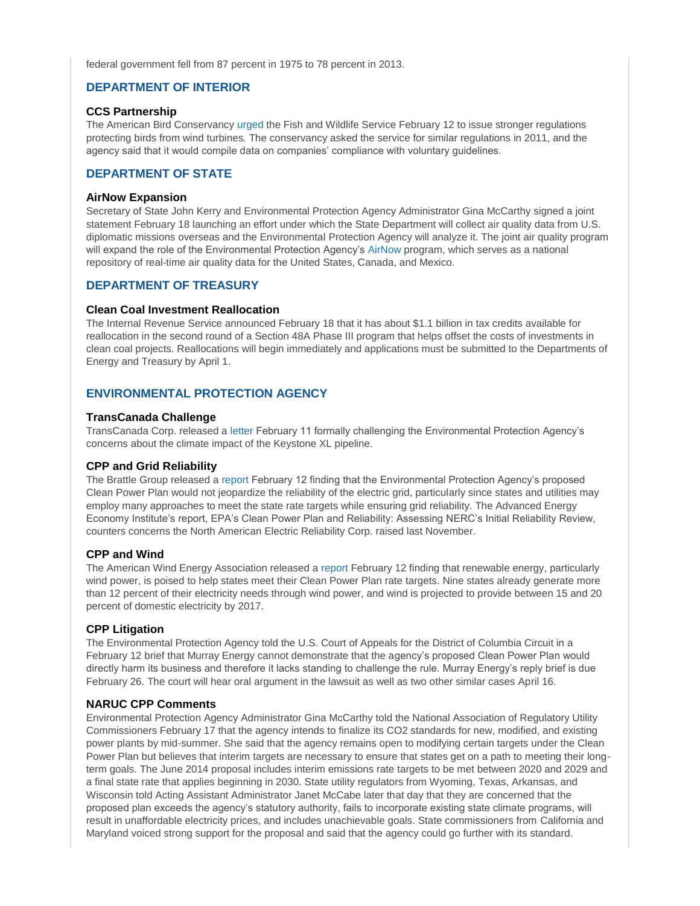federal government fell from 87 percent in 1975 to 78 percent in 2013.

# **DEPARTMENT OF INTERIOR**

### **CCS Partnership**

The American Bird Conservancy [urged](http://www.abcbirds.org/PDFs/Wind_petition_letter&petition.pdf) the Fish and Wildlife Service February 12 to issue stronger regulations protecting birds from wind turbines. The conservancy asked the service for similar regulations in 2011, and the agency said that it would compile data on companies' compliance with voluntary guidelines.

# **DEPARTMENT OF STATE**

### **AirNow Expansion**

Secretary of State John Kerry and Environmental Protection Agency Administrator Gina McCarthy signed a joint statement February 18 launching an effort under which the State Department will collect air quality data from U.S. diplomatic missions overseas and the Environmental Protection Agency will analyze it. The joint air quality program will expand the role of the Environmental Protection Agency's [AirNow](http://www.airnow.gov/) program, which serves as a national repository of real-time air quality data for the United States, Canada, and Mexico.

# **DEPARTMENT OF TREASURY**

### **Clean Coal Investment Reallocation**

The Internal Revenue Service announced February 18 that it has about \$1.1 billion in tax credits available for reallocation in the second round of a Section 48A Phase III program that helps offset the costs of investments in clean coal projects. Reallocations will begin immediately and applications must be submitted to the Departments of Energy and Treasury by April 1.

# **ENVIRONMENTAL PROTECTION AGENCY**

#### **TransCanada Challenge**

TransCanada Corp. released a [letter](http://keystone-xl.com/wp-content/uploads/2015/02/response-to-epa-letter.pdf) February 11 formally challenging the Environmental Protection Agency's concerns about the climate impact of the Keystone XL pipeline.

# **CPP and Grid Reliability**

The Brattle Group released a [report](http://info.aee.net/brattle-reliability-report) February 12 finding that the Environmental Protection Agency's proposed Clean Power Plan would not jeopardize the reliability of the electric grid, particularly since states and utilities may employ many approaches to meet the state rate targets while ensuring grid reliability. The Advanced Energy Economy Institute's report, EPA's Clean Power Plan and Reliability: Assessing NERC's Initial Reliability Review, counters concerns the North American Electric Reliability Corp. raised last November.

# **CPP and Wind**

The American Wind Energy Association released a [report](http://awea.files.cms-plus.com/AWEA%20Reliability%20White%20Paper%20-%202-12-15.pdf) February 12 finding that renewable energy, particularly wind power, is poised to help states meet their Clean Power Plan rate targets. Nine states already generate more than 12 percent of their electricity needs through wind power, and wind is projected to provide between 15 and 20 percent of domestic electricity by 2017.

# **CPP Litigation**

The Environmental Protection Agency told the U.S. Court of Appeals for the District of Columbia Circuit in a February 12 brief that Murray Energy cannot demonstrate that the agency's proposed Clean Power Plan would directly harm its business and therefore it lacks standing to challenge the rule. Murray Energy's reply brief is due February 26. The court will hear oral argument in the lawsuit as well as two other similar cases April 16.

# **NARUC CPP Comments**

Environmental Protection Agency Administrator Gina McCarthy told the National Association of Regulatory Utility Commissioners February 17 that the agency intends to finalize its CO2 standards for new, modified, and existing power plants by mid-summer. She said that the agency remains open to modifying certain targets under the Clean Power Plan but believes that interim targets are necessary to ensure that states get on a path to meeting their longterm goals. The June 2014 proposal includes interim emissions rate targets to be met between 2020 and 2029 and a final state rate that applies beginning in 2030. State utility regulators from Wyoming, Texas, Arkansas, and Wisconsin told Acting Assistant Administrator Janet McCabe later that day that they are concerned that the proposed plan exceeds the agency's statutory authority, fails to incorporate existing state climate programs, will result in unaffordable electricity prices, and includes unachievable goals. State commissioners from California and Maryland voiced strong support for the proposal and said that the agency could go further with its standard.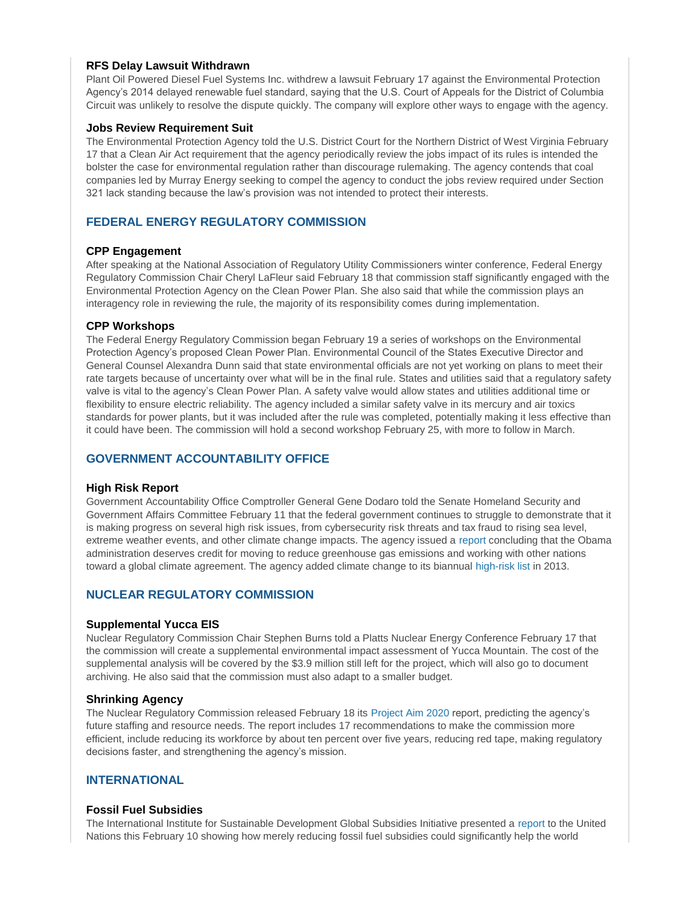### **RFS Delay Lawsuit Withdrawn**

Plant Oil Powered Diesel Fuel Systems Inc. withdrew a lawsuit February 17 against the Environmental Protection Agency's 2014 delayed renewable fuel standard, saying that the U.S. Court of Appeals for the District of Columbia Circuit was unlikely to resolve the dispute quickly. The company will explore other ways to engage with the agency.

#### **Jobs Review Requirement Suit**

The Environmental Protection Agency told the U.S. District Court for the Northern District of West Virginia February 17 that a Clean Air Act requirement that the agency periodically review the jobs impact of its rules is intended the bolster the case for environmental regulation rather than discourage rulemaking. The agency contends that coal companies led by Murray Energy seeking to compel the agency to conduct the jobs review required under Section 321 lack standing because the law's provision was not intended to protect their interests.

# **FEDERAL ENERGY REGULATORY COMMISSION**

### **CPP Engagement**

After speaking at the National Association of Regulatory Utility Commissioners winter conference, Federal Energy Regulatory Commission Chair Cheryl LaFleur said February 18 that commission staff significantly engaged with the Environmental Protection Agency on the Clean Power Plan. She also said that while the commission plays an interagency role in reviewing the rule, the majority of its responsibility comes during implementation.

### **CPP Workshops**

The Federal Energy Regulatory Commission began February 19 a series of workshops on the Environmental Protection Agency's proposed Clean Power Plan. Environmental Council of the States Executive Director and General Counsel Alexandra Dunn said that state environmental officials are not yet working on plans to meet their rate targets because of uncertainty over what will be in the final rule. States and utilities said that a regulatory safety valve is vital to the agency's Clean Power Plan. A safety valve would allow states and utilities additional time or flexibility to ensure electric reliability. The agency included a similar safety valve in its mercury and air toxics standards for power plants, but it was included after the rule was completed, potentially making it less effective than it could have been. The commission will hold a second workshop February 25, with more to follow in March.

# **GOVERNMENT ACCOUNTABILITY OFFICE**

#### **High Risk Report**

Government Accountability Office Comptroller General Gene Dodaro told the Senate Homeland Security and Government Affairs Committee February 11 that the federal government continues to struggle to demonstrate that it is making progress on several high risk issues, from cybersecurity risk threats and tax fraud to rising sea level, extreme weather events, and other climate change impacts. The agency issued a [report](http://www.gao.gov/assets/670/668415.pdf) concluding that the Obama administration deserves credit for moving to reduce greenhouse gas emissions and working with other nations toward a global climate agreement. The agency added climate change to its biannual [high-risk list](http://www.gao.gov/products/GAO-15-290) in 2013.

# **NUCLEAR REGULATORY COMMISSION**

# **Supplemental Yucca EIS**

Nuclear Regulatory Commission Chair Stephen Burns told a Platts Nuclear Energy Conference February 17 that the commission will create a supplemental environmental impact assessment of Yucca Mountain. The cost of the supplemental analysis will be covered by the \$3.9 million still left for the project, which will also go to document archiving. He also said that the commission must also adapt to a smaller budget.

#### **Shrinking Agency**

The Nuclear Regulatory Commission released February 18 its [Project Aim 2020](http://pbadupws.nrc.gov/docs/ML1502/ML15023A558.html) report, predicting the agency's future staffing and resource needs. The report includes 17 recommendations to make the commission more efficient, include reducing its workforce by about ten percent over five years, reducing red tape, making regulatory decisions faster, and strengthening the agency's mission.

# **INTERNATIONAL**

#### **Fossil Fuel Subsidies**

The International Institute for Sustainable Development Global Subsidies Initiative presented a [report](http://norden.diva-portal.org/smash/get/diva2:786861/FULLTEXT02.pdf) to the United Nations this February 10 showing how merely reducing fossil fuel subsidies could significantly help the world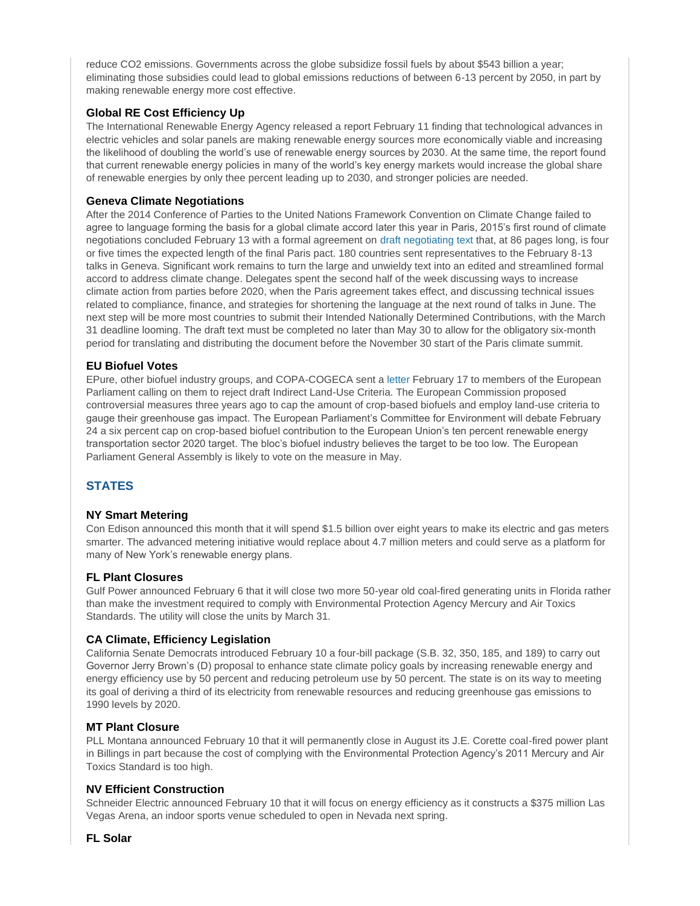reduce CO2 emissions. Governments across the globe subsidize fossil fuels by about \$543 billion a year; eliminating those subsidies could lead to global emissions reductions of between 6-13 percent by 2050, in part by making renewable energy more cost effective.

# **Global RE Cost Efficiency Up**

The International Renewable Energy Agency released a report February 11 finding that technological advances in electric vehicles and solar panels are making renewable energy sources more economically viable and increasing the likelihood of doubling the world's use of renewable energy sources by 2030. At the same time, the report found that current renewable energy policies in many of the world's key energy markets would increase the global share of renewable energies by only thee percent leading up to 2030, and stronger policies are needed.

# **Geneva Climate Negotiations**

After the 2014 Conference of Parties to the United Nations Framework Convention on Climate Change failed to agree to language forming the basis for a global climate accord later this year in Paris, 2015's first round of climate negotiations concluded February 13 with a formal agreement on [draft negotiating text](http://unfccc.int/files/bodies/awg/application/pdf/negotiating_text_12022015@2200.pdf) that, at 86 pages long, is four or five times the expected length of the final Paris pact. 180 countries sent representatives to the February 8-13 talks in Geneva. Significant work remains to turn the large and unwieldy text into an edited and streamlined formal accord to address climate change. Delegates spent the second half of the week discussing ways to increase climate action from parties before 2020, when the Paris agreement takes effect, and discussing technical issues related to compliance, finance, and strategies for shortening the language at the next round of talks in June. The next step will be more most countries to submit their Intended Nationally Determined Contributions, with the March 31 deadline looming. The draft text must be completed no later than May 30 to allow for the obligatory six-month period for translating and distributing the document before the November 30 start of the Paris climate summit.

# **EU Biofuel Votes**

EPure, other biofuel industry groups, and COPA-COGECA sent [a letter](http://www.europarl.europa.eu/meetdocs/2014_2019/documents/envi/pr/1044/1044004/1044004en.pdf) February 17 to members of the European Parliament calling on them to reject draft Indirect Land-Use Criteria. The European Commission proposed controversial measures three years ago to cap the amount of crop-based biofuels and employ land-use criteria to gauge their greenhouse gas impact. The European Parliament's Committee for Environment will debate February 24 a six percent cap on crop-based biofuel contribution to the European Union's ten percent renewable energy transportation sector 2020 target. The bloc's biofuel industry believes the target to be too low. The European Parliament General Assembly is likely to vote on the measure in May.

# **STATES**

# **NY Smart Metering**

Con Edison announced this month that it will spend \$1.5 billion over eight years to make its electric and gas meters smarter. The advanced metering initiative would replace about 4.7 million meters and could serve as a platform for many of New York's renewable energy plans.

# **FL Plant Closures**

Gulf Power announced February 6 that it will close two more 50-year old coal-fired generating units in Florida rather than make the investment required to comply with Environmental Protection Agency Mercury and Air Toxics Standards. The utility will close the units by March 31.

# **CA Climate, Efficiency Legislation**

California Senate Democrats introduced February 10 a four-bill package (S.B. 32, 350, 185, and 189) to carry out Governor Jerry Brown's (D) proposal to enhance state climate policy goals by increasing renewable energy and energy efficiency use by 50 percent and reducing petroleum use by 50 percent. The state is on its way to meeting its goal of deriving a third of its electricity from renewable resources and reducing greenhouse gas emissions to 1990 levels by 2020.

# **MT Plant Closure**

PLL Montana announced February 10 that it will permanently close in August its J.E. Corette coal-fired power plant in Billings in part because the cost of complying with the Environmental Protection Agency's 2011 Mercury and Air Toxics Standard is too high.

# **NV Efficient Construction**

Schneider Electric announced February 10 that it will focus on energy efficiency as it constructs a \$375 million Las Vegas Arena, an indoor sports venue scheduled to open in Nevada next spring.

**FL Solar**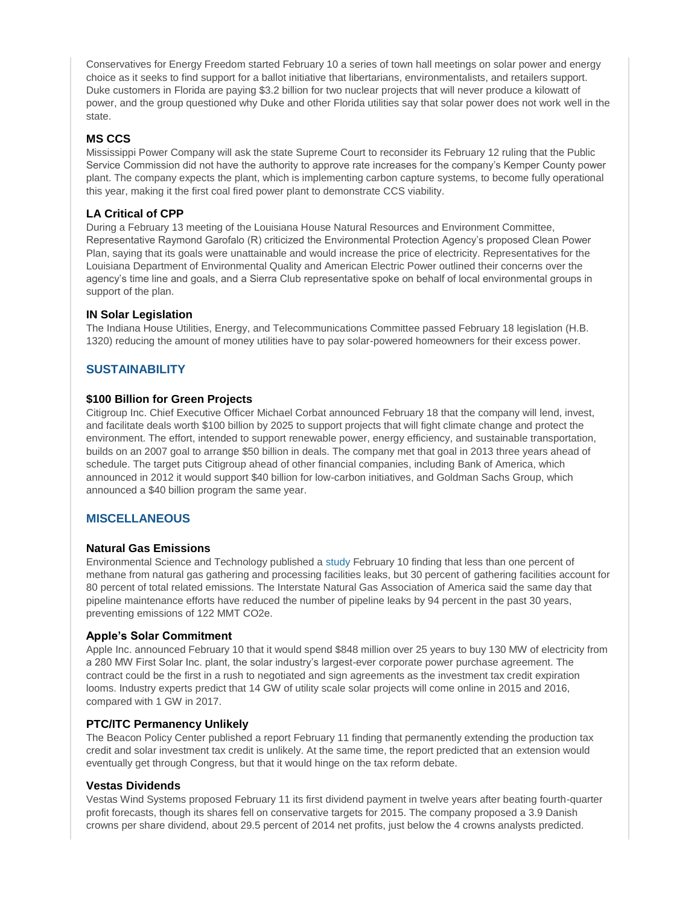Conservatives for Energy Freedom started February 10 a series of town hall meetings on solar power and energy choice as it seeks to find support for a ballot initiative that libertarians, environmentalists, and retailers support. Duke customers in Florida are paying \$3.2 billion for two nuclear projects that will never produce a kilowatt of power, and the group questioned why Duke and other Florida utilities say that solar power does not work well in the state.

# **MS CCS**

Mississippi Power Company will ask the state Supreme Court to reconsider its February 12 ruling that the Public Service Commission did not have the authority to approve rate increases for the company's Kemper County power plant. The company expects the plant, which is implementing carbon capture systems, to become fully operational this year, making it the first coal fired power plant to demonstrate CCS viability.

# **LA Critical of CPP**

During a February 13 meeting of the Louisiana House Natural Resources and Environment Committee, Representative Raymond Garofalo (R) criticized the Environmental Protection Agency's proposed Clean Power Plan, saying that its goals were unattainable and would increase the price of electricity. Representatives for the Louisiana Department of Environmental Quality and American Electric Power outlined their concerns over the agency's time line and goals, and a Sierra Club representative spoke on behalf of local environmental groups in support of the plan.

# **IN Solar Legislation**

The Indiana House Utilities, Energy, and Telecommunications Committee passed February 18 legislation (H.B. 1320) reducing the amount of money utilities have to pay solar-powered homeowners for their excess power.

# **SUSTAINABILITY**

# **\$100 Billion for Green Projects**

Citigroup Inc. Chief Executive Officer Michael Corbat announced February 18 that the company will lend, invest, and facilitate deals worth \$100 billion by 2025 to support projects that will fight climate change and protect the environment. The effort, intended to support renewable power, energy efficiency, and sustainable transportation, builds on an 2007 goal to arrange \$50 billion in deals. The company met that goal in 2013 three years ahead of schedule. The target puts Citigroup ahead of other financial companies, including Bank of America, which announced in 2012 it would support \$40 billion for low-carbon initiatives, and Goldman Sachs Group, which announced a \$40 billion program the same year.

# **MISCELLANEOUS**

#### **Natural Gas Emissions**

Environmental Science and Technology published a [study](http://pubs.acs.org/doi/abs/10.1021/es5052809) February 10 finding that less than one percent of methane from natural gas gathering and processing facilities leaks, but 30 percent of gathering facilities account for 80 percent of total related emissions. The Interstate Natural Gas Association of America said the same day that pipeline maintenance efforts have reduced the number of pipeline leaks by 94 percent in the past 30 years, preventing emissions of 122 MMT CO2e.

#### **Apple's Solar Commitment**

Apple Inc. announced February 10 that it would spend \$848 million over 25 years to buy 130 MW of electricity from a 280 MW First Solar Inc. plant, the solar industry's largest-ever corporate power purchase agreement. The contract could be the first in a rush to negotiated and sign agreements as the investment tax credit expiration looms. Industry experts predict that 14 GW of utility scale solar projects will come online in 2015 and 2016, compared with 1 GW in 2017.

#### **PTC/ITC Permanency Unlikely**

The Beacon Policy Center published a report February 11 finding that permanently extending the production tax credit and solar investment tax credit is unlikely. At the same time, the report predicted that an extension would eventually get through Congress, but that it would hinge on the tax reform debate.

#### **Vestas Dividends**

Vestas Wind Systems proposed February 11 its first dividend payment in twelve years after beating fourth-quarter profit forecasts, though its shares fell on conservative targets for 2015. The company proposed a 3.9 Danish crowns per share dividend, about 29.5 percent of 2014 net profits, just below the 4 crowns analysts predicted.